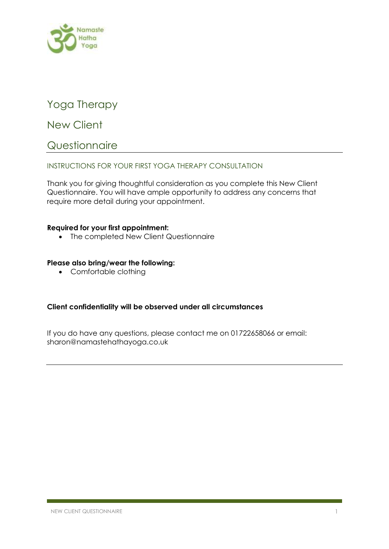

# Yoga Therapy

New Client

## **Questionnaire**

## INSTRUCTIONS FOR YOUR FIRST YOGA THERAPY CONSULTATION

Thank you for giving thoughtful consideration as you complete this New Client Questionnaire. You will have ample opportunity to address any concerns that require more detail during your appointment.

### **Required for your first appointment:**

• The completed New Client Questionnaire

### **Please also bring/wear the following:**

• Comfortable clothing

## **Client confidentiality will be observed under all circumstances**

If you do have any questions, please contact me on 01722658066 or email: sharon@namastehathayoga.co.uk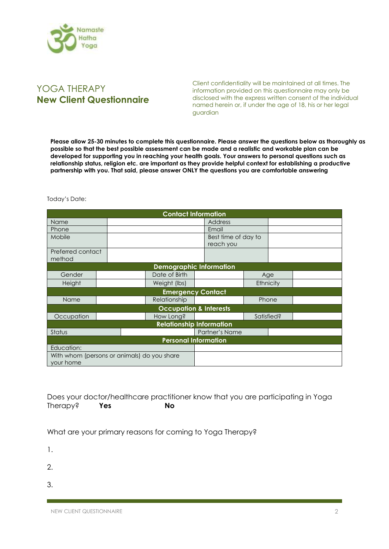

## YOGA THERAPY **New Client Questionnaire**

Client confidentiality will be maintained at all times. The information provided on this questionnaire may only be disclosed with the express written consent of the individual named herein or, if under the age of 18, his or her legal guardian

**Please allow 25-30 minutes to complete this questionnaire. Please answer the questions below as thoroughly as possible so that the best possible assessment can be made and a realistic and workable plan can be developed for supporting you in reaching your health goals. Your answers to personal questions such as relationship status, religion etc. are important as they provide helpful context for establishing a productive partnership with you. That said, please answer ONLY the questions you are comfortable answering**

Today's Date:

| <b>Contact Information</b>                  |                          |  |                |  |                     |            |       |  |
|---------------------------------------------|--------------------------|--|----------------|--|---------------------|------------|-------|--|
| Name                                        |                          |  |                |  | <b>Address</b>      |            |       |  |
| Phone                                       |                          |  |                |  | Email               |            |       |  |
| Mobile                                      |                          |  |                |  | Best time of day to |            |       |  |
|                                             |                          |  |                |  | reach you           |            |       |  |
| Preferred contact                           |                          |  |                |  |                     |            |       |  |
| method                                      |                          |  |                |  |                     |            |       |  |
| <b>Demographic Information</b>              |                          |  |                |  |                     |            |       |  |
| Gender                                      |                          |  | Date of Birth  |  |                     | Age        |       |  |
| Height                                      |                          |  | Weight (lbs)   |  |                     | Ethnicity  |       |  |
|                                             | <b>Emergency Contact</b> |  |                |  |                     |            |       |  |
| Name                                        |                          |  | Relationship   |  |                     |            | Phone |  |
| <b>Occupation &amp; Interests</b>           |                          |  |                |  |                     |            |       |  |
| Occupation                                  |                          |  | How Long?      |  |                     | Satisfied? |       |  |
| <b>Relationship Information</b>             |                          |  |                |  |                     |            |       |  |
| Status                                      |                          |  | Partner's Name |  |                     |            |       |  |
| <b>Personal Information</b>                 |                          |  |                |  |                     |            |       |  |
| Education:                                  |                          |  |                |  |                     |            |       |  |
| With whom (persons or animals) do you share |                          |  |                |  |                     |            |       |  |
| your home                                   |                          |  |                |  |                     |            |       |  |

Does your doctor/healthcare practitioner know that you are participating in Yoga Therapy? **Yes No**

What are your primary reasons for coming to Yoga Therapy?

- 1.
- 
- 2.
- 3.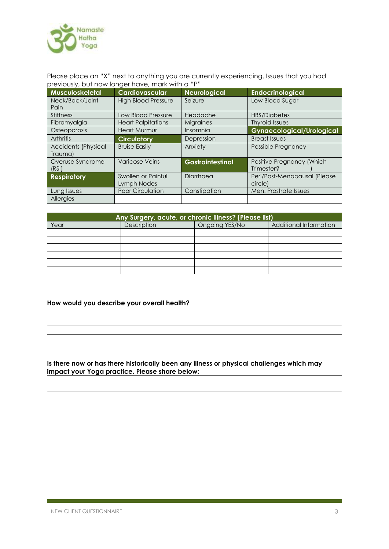

Please place an "X" next to anything you are currently experiencing. Issues that you had previously, but now longer have, mark with a "P"

| Musculoskeletal            | Cardiovascular             | <b>Neurological</b>     | <b>Endocrinological</b>          |
|----------------------------|----------------------------|-------------------------|----------------------------------|
| Neck/Back/Joint            | <b>High Blood Pressure</b> | Seizure                 | Low Blood Sugar                  |
| Pain                       |                            |                         |                                  |
| <b>Stiffness</b>           | <b>Low Blood Pressure</b>  | Headache                | <b>HBS/Diabetes</b>              |
| Fibromyalgia               | <b>Heart Palpitations</b>  | Migraines               | <b>Thyroid Issues</b>            |
| Osteoporosis               | <b>Heart Murmur</b>        | Insomnia                | <b>Gynaecological/Urological</b> |
| <b>Arthritis</b>           | <b>Circulatory</b>         | Depression              | <b>Breast Issues</b>             |
| <b>Accidents (Physical</b> | <b>Bruise Easily</b>       | Anxiety                 | Possible Pregnancy               |
| Trauma)                    |                            |                         |                                  |
| Overuse Syndrome           | <b>Varicose Veins</b>      | <b>Gastrointestinal</b> | Positive Pregnancy (Which        |
| (RSI)                      |                            |                         | Trimester?                       |
| <b>Respiratory</b>         | Swollen or Painful         | Diarrhoea               | Peri/Post-Menopausal (Please     |
|                            | Lymph Nodes                |                         | circle)                          |
| Lung Issues                | Poor Circulation           | Constipation            | Men: Prostrate Issues            |
| <b>Allergies</b>           |                            |                         |                                  |

| Any Surgery, acute, or chronic illness? (Please list) |             |                |                        |  |  |  |
|-------------------------------------------------------|-------------|----------------|------------------------|--|--|--|
| Year                                                  | Description | Ongoing YES/No | Additional Information |  |  |  |
|                                                       |             |                |                        |  |  |  |
|                                                       |             |                |                        |  |  |  |
|                                                       |             |                |                        |  |  |  |
|                                                       |             |                |                        |  |  |  |
|                                                       |             |                |                        |  |  |  |
|                                                       |             |                |                        |  |  |  |

#### **How would you describe your overall health?**

#### **Is there now or has there historically been any illness or physical challenges which may impact your Yoga practice. Please share below:**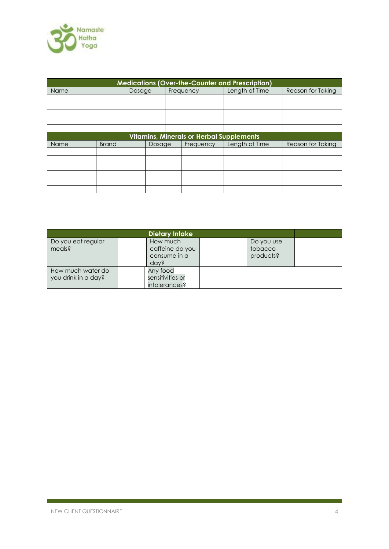

| <b>Medications (Over-the-Counter and Prescription)</b> |              |        |        |           |           |                |                   |
|--------------------------------------------------------|--------------|--------|--------|-----------|-----------|----------------|-------------------|
| <b>Name</b>                                            |              | Dosage |        | Frequency |           | Length of Time | Reason for Taking |
|                                                        |              |        |        |           |           |                |                   |
|                                                        |              |        |        |           |           |                |                   |
|                                                        |              |        |        |           |           |                |                   |
|                                                        |              |        |        |           |           |                |                   |
|                                                        |              |        |        |           |           |                |                   |
| Vitamins, Minerals or Herbal Supplements               |              |        |        |           |           |                |                   |
| Name                                                   | <b>Brand</b> |        | Dosage |           | Frequency | Length of Time | Reason for Taking |
|                                                        |              |        |        |           |           |                |                   |
|                                                        |              |        |        |           |           |                |                   |
|                                                        |              |        |        |           |           |                |                   |
|                                                        |              |        |        |           |           |                |                   |
|                                                        |              |        |        |           |           |                |                   |
|                                                        |              |        |        |           |           |                |                   |

|                                          | Dietary Intake                                      |                                    |  |
|------------------------------------------|-----------------------------------------------------|------------------------------------|--|
| Do you eat regular<br>meals?             | How much<br>caffeine do you<br>consume in a<br>dav? | Do you use<br>tobacco<br>products? |  |
| How much water do<br>you drink in a day? | Any food<br>sensitivities or<br>intolerances?       |                                    |  |

r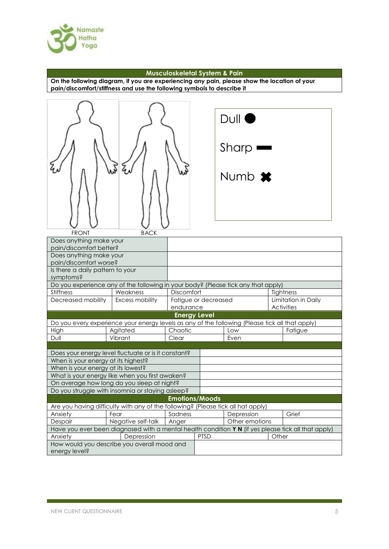

#### **Musculoskeletal System & Pain**

**On the following diagram, if you are experiencing any pain, please show the location of your pain/discomfort/stiffness and use the following symbols to describe it**

|                                                                                                     |                                                                                                 |                  |                       | Dull<br>Sharp<br>Numb <b>*</b> |       |                     |  |
|-----------------------------------------------------------------------------------------------------|-------------------------------------------------------------------------------------------------|------------------|-----------------------|--------------------------------|-------|---------------------|--|
| <b>FRONT</b>                                                                                        | <b>BACK</b>                                                                                     |                  |                       |                                |       |                     |  |
| Does anything make your                                                                             |                                                                                                 |                  |                       |                                |       |                     |  |
| pain/discomfort better?<br>Does anything make your                                                  |                                                                                                 |                  |                       |                                |       |                     |  |
| pain/discomfort worse?                                                                              |                                                                                                 |                  |                       |                                |       |                     |  |
| Is there a daily pattern to your                                                                    |                                                                                                 |                  |                       |                                |       |                     |  |
| symptoms?                                                                                           |                                                                                                 |                  |                       |                                |       |                     |  |
| Do you experience any of the following in your body? (Please tick any that apply)                   |                                                                                                 |                  |                       |                                |       |                     |  |
| <b>Stiffness</b>                                                                                    | Discomfort                                                                                      |                  |                       | Tightness                      |       |                     |  |
| Decreased mobility<br>Excess mobility                                                               |                                                                                                 |                  | Fatigue or decreased  |                                |       | Limitation in Daily |  |
|                                                                                                     | endurance                                                                                       |                  |                       | <b>Activities</b>              |       |                     |  |
| <b>Energy Level</b>                                                                                 |                                                                                                 |                  |                       |                                |       |                     |  |
|                                                                                                     | Do you every experience your energy levels as any of the following (Please tick all that apply) |                  |                       |                                |       |                     |  |
| High                                                                                                | Agitated                                                                                        | Chaotic<br>Clear |                       | Low                            |       | Fatigue             |  |
| Dull                                                                                                | Vibrant                                                                                         |                  |                       | Even                           |       |                     |  |
|                                                                                                     | Does your energy level fluctuate or is it constant?                                             |                  |                       |                                |       |                     |  |
| When is your energy at its highest?                                                                 |                                                                                                 |                  |                       |                                |       |                     |  |
| When is your energy at its lowest?                                                                  |                                                                                                 |                  |                       |                                |       |                     |  |
|                                                                                                     | What is your energy like when you first awaken?                                                 |                  |                       |                                |       |                     |  |
|                                                                                                     | On average how long do you sleep at night?                                                      |                  |                       |                                |       |                     |  |
| Do you struggle with insomnia or staying asleep?                                                    |                                                                                                 |                  |                       |                                |       |                     |  |
|                                                                                                     |                                                                                                 |                  | <b>Emotions/Moods</b> |                                |       |                     |  |
| Are you having difficulty with any of the following? (Please tick all hat apply)                    |                                                                                                 |                  |                       |                                |       |                     |  |
| Anxiety                                                                                             | Fear                                                                                            | Sadness          |                       | Depression                     |       | Grief               |  |
| Despair                                                                                             | Negative self-talk                                                                              | Anger            |                       | Other emotions                 |       |                     |  |
| Have you ever been diagnosed with a mental health condition Y N (if yes please tick all that apply) |                                                                                                 |                  |                       |                                |       |                     |  |
| Anxiety                                                                                             | Depression                                                                                      |                  | <b>PTSD</b>           |                                | Other |                     |  |
|                                                                                                     | How would you describe you overall mood and                                                     |                  |                       |                                |       |                     |  |
| energy level?                                                                                       |                                                                                                 |                  |                       |                                |       |                     |  |